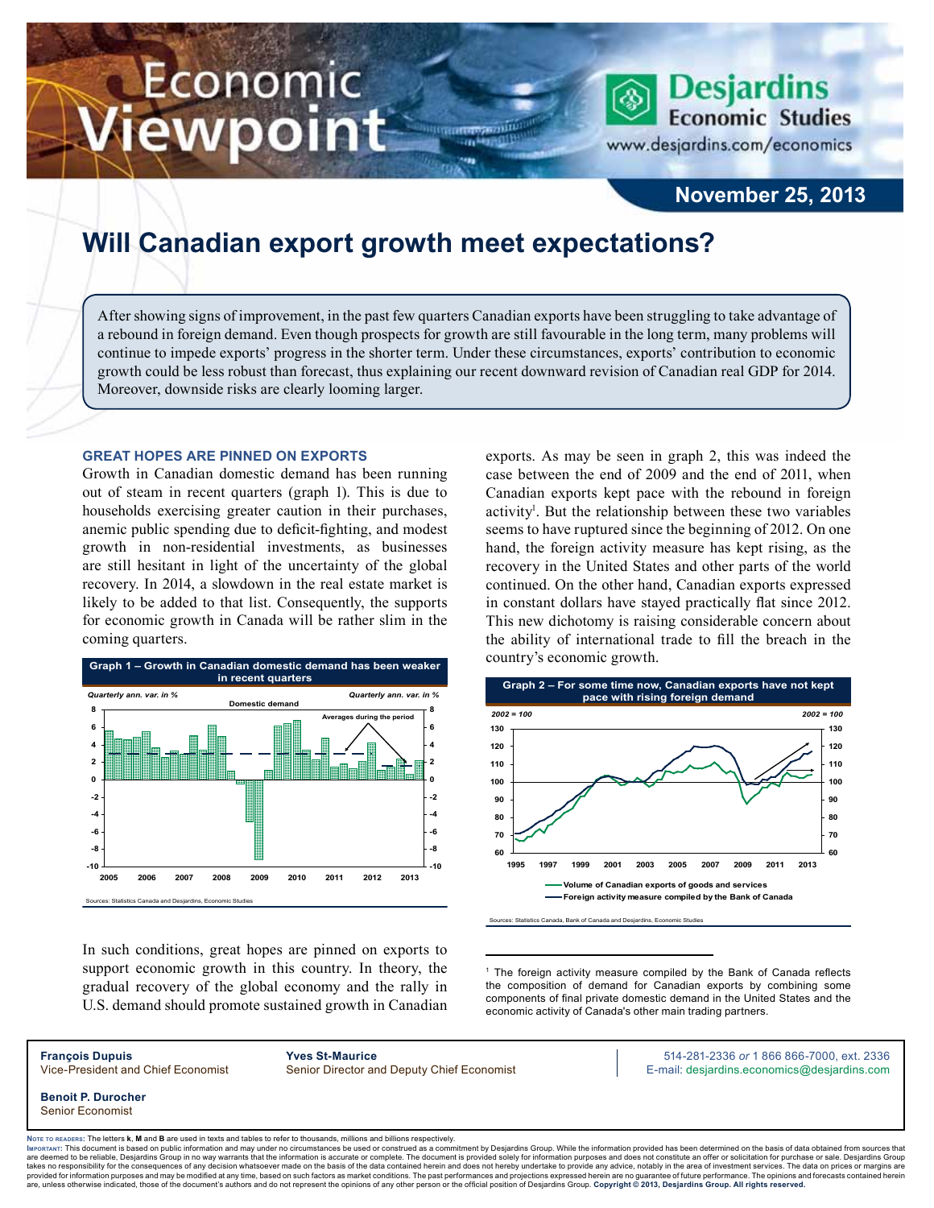# Economic iewpoint

**Desjardins Economic Studies** 

www.desjardins.com/economics

### **November 25, 2013**

## **Will Canadian export growth meet expectations?**

After showing signs of improvement, in the past few quarters Canadian exports have been struggling to take advantage of a rebound in foreign demand. Even though prospects for growth are still favourable in the long term, many problems will continue to impede exports' progress in the shorter term. Under these circumstances, exports' contribution to economic growth could be less robust than forecast, thus explaining our recent downward revision of Canadian real GDP for 2014. Moreover, downside risks are clearly looming larger.

m

#### **Great hopes are pinned on exports**

Growth in Canadian domestic demand has been running out of steam in recent quarters (graph 1). This is due to households exercising greater caution in their purchases, anemic public spending due to deficit-fighting, and modest growth in non-residential investments, as businesses are still hesitant in light of the uncertainty of the global recovery. In 2014, a slowdown in the real estate market is likely to be added to that list. Consequently, the supports for economic growth in Canada will be rather slim in the coming quarters.



In such conditions, great hopes are pinned on exports to support economic growth in this country. In theory, the gradual recovery of the global economy and the rally in U.S. demand should promote sustained growth in Canadian exports. As may be seen in graph 2, this was indeed the case between the end of 2009 and the end of 2011, when Canadian exports kept pace with the rebound in foreign activity<sup>1</sup>. But the relationship between these two variables seems to have ruptured since the beginning of 2012. On one hand, the foreign activity measure has kept rising, as the recovery in the United States and other parts of the world continued. On the other hand, Canadian exports expressed in constant dollars have stayed practically flat since 2012. This new dichotomy is raising considerable concern about the ability of international trade to fill the breach in the country's economic growth.



1 The foreign activity measure compiled by the Bank of Canada reflects the composition of demand for Canadian exports by combining some components of final private domestic demand in the United States and the economic activity of Canada's other main trading partners.

**François Dupuis Yves St-Maurice** 514-281-2336 *or* 1 866 866-7000, ext. 2336 Vice-President and Chief Economist Senior Director and Deputy Chief Economist E-mail: desjardins.economics@desjardins.com

**Benoit P. Durocher** Senior Economist

Noте то келоекs: The letters **k, M** and **B** are used in texts and tables to refer to thousands, millions and billions respectively.<br>Імроктлит: This document is based on public information and may under no circumstances be are deemed to be reliable. Desiardins Group in no way warrants that the information is accurate or complete. The document is provided solely for information purposes and does not constitute an offer or solicitation for pur takes no responsibility for the consequences of any decision whatsoever made on the basis of the data contained herein and does not hereby undertake to provide any advice, notably in the area of investment services. The da .<br>are, unless otherwise indicated, those of the document's authors and do not represent the opinions of any other person or the official position of Desjardins Group. Copyright © 2013, Desjardins Group. All rights reserve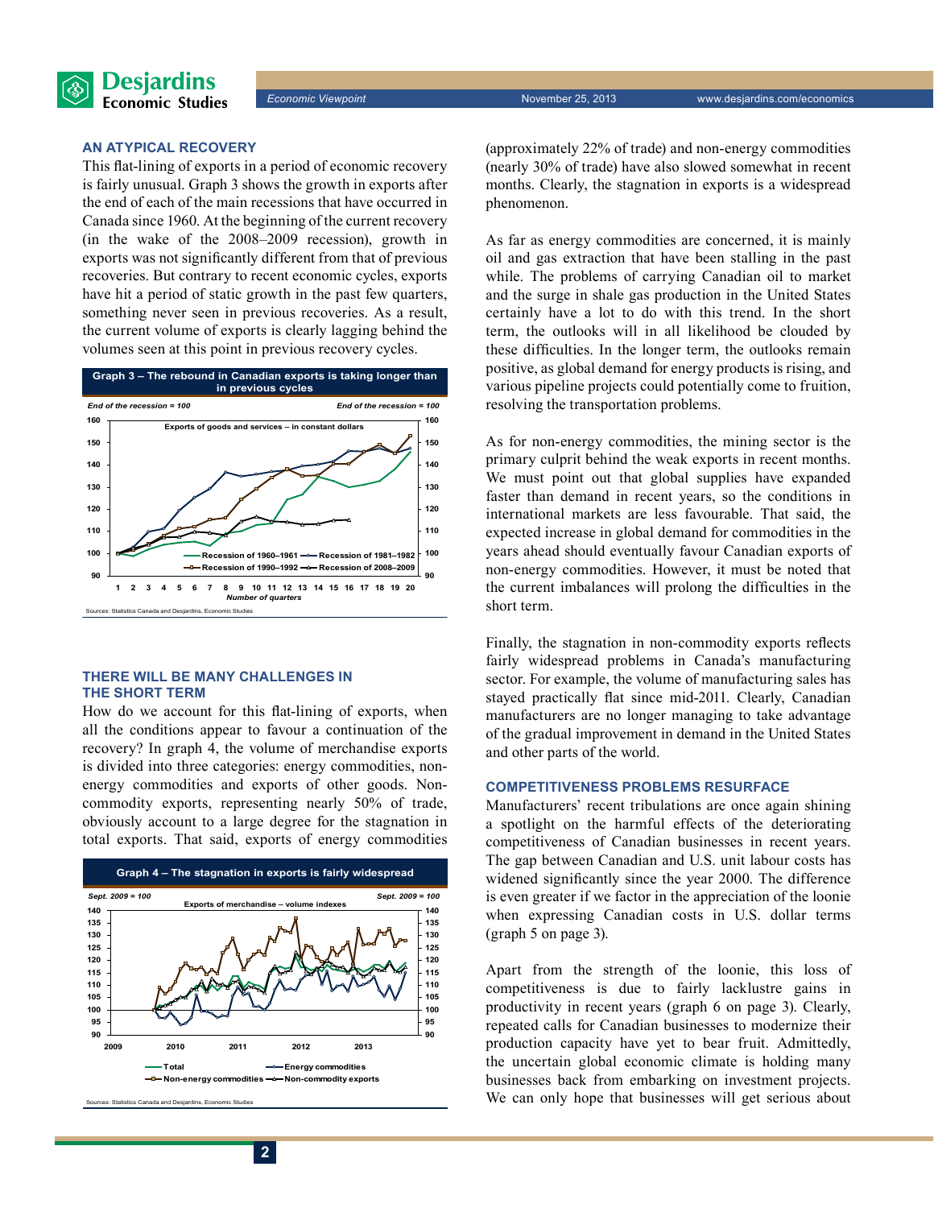#### **An atypical recovery**

**Desjardins Economic Studies** 

This flat-lining of exports in a period of economic recovery is fairly unusual. Graph 3 shows the growth in exports after the end of each of the main recessions that have occurred in Canada since 1960. At the beginning of the current recovery (in the wake of the 2008–2009 recession), growth in exports was not significantly different from that of previous recoveries. But contrary to recent economic cycles, exports have hit a period of static growth in the past few quarters, something never seen in previous recoveries. As a result, the current volume of exports is clearly lagging behind the volumes seen at this point in previous recovery cycles.



#### **There will be many challenges in the short term**

How do we account for this flat-lining of exports, when all the conditions appear to favour a continuation of the recovery? In graph 4, the volume of merchandise exports is divided into three categories: energy commodities, nonenergy commodities and exports of other goods. Noncommodity exports, representing nearly 50% of trade, obviously account to a large degree for the stagnation in total exports. That said, exports of energy commodities



ces: Statistics Canada and Desiardins, Economic Studi

(approximately 22% of trade) and non-energy commodities (nearly 30% of trade) have also slowed somewhat in recent months. Clearly, the stagnation in exports is a widespread phenomenon.

As far as energy commodities are concerned, it is mainly oil and gas extraction that have been stalling in the past while. The problems of carrying Canadian oil to market and the surge in shale gas production in the United States certainly have a lot to do with this trend. In the short term, the outlooks will in all likelihood be clouded by these difficulties. In the longer term, the outlooks remain positive, as global demand for energy products is rising, and various pipeline projects could potentially come to fruition, resolving the transportation problems.

As for non-energy commodities, the mining sector is the primary culprit behind the weak exports in recent months. We must point out that global supplies have expanded faster than demand in recent years, so the conditions in international markets are less favourable. That said, the expected increase in global demand for commodities in the years ahead should eventually favour Canadian exports of non-energy commodities. However, it must be noted that the current imbalances will prolong the difficulties in the short term.

Finally, the stagnation in non-commodity exports reflects fairly widespread problems in Canada's manufacturing sector. For example, the volume of manufacturing sales has stayed practically flat since mid-2011. Clearly, Canadian manufacturers are no longer managing to take advantage of the gradual improvement in demand in the United States and other parts of the world.

#### **Competitiveness problems resurface**

Manufacturers' recent tribulations are once again shining a spotlight on the harmful effects of the deteriorating competitiveness of Canadian businesses in recent years. The gap between Canadian and U.S. unit labour costs has widened significantly since the year 2000. The difference is even greater if we factor in the appreciation of the loonie when expressing Canadian costs in U.S. dollar terms (graph 5 on page 3).

Apart from the strength of the loonie, this loss of competitiveness is due to fairly lacklustre gains in productivity in recent years (graph 6 on page 3). Clearly, repeated calls for Canadian businesses to modernize their production capacity have yet to bear fruit. Admittedly, the uncertain global economic climate is holding many businesses back from embarking on investment projects. We can only hope that businesses will get serious about